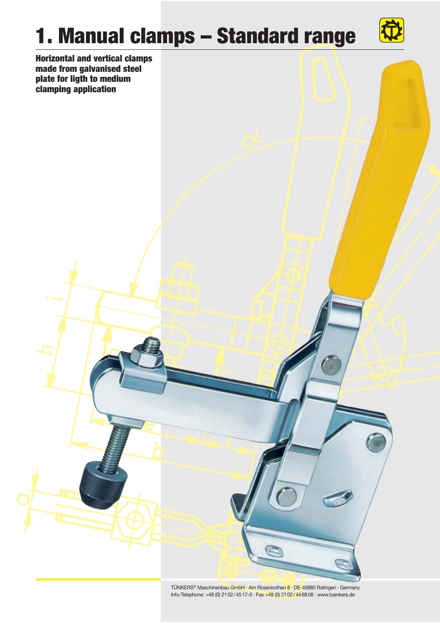## **1. Manual clamps – Standard range**



**Horizontal and vertical clamps made from galvanised steel plate for ligth to medium clamping application**

> TÜNKERS® Maschinenbau GmbH · Am Rosenkothen 8 · DE-40880 Ratingen · Germany Info-Telephone: +49 (0) 21 02 / 45 17-0 · Fax +49 (0) 21 02 / 44 68 08 · www.tuenkers.de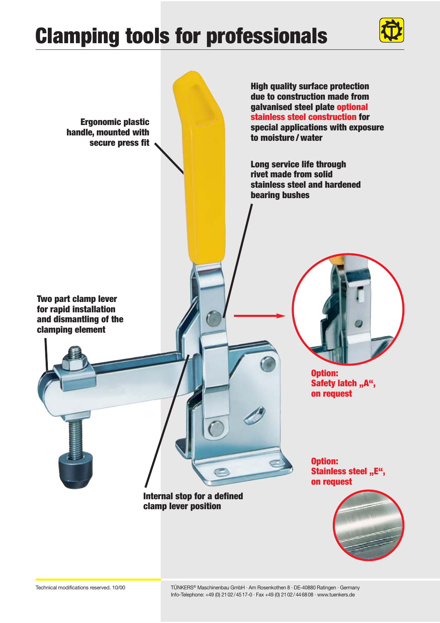### **Clamping tools for professionals**



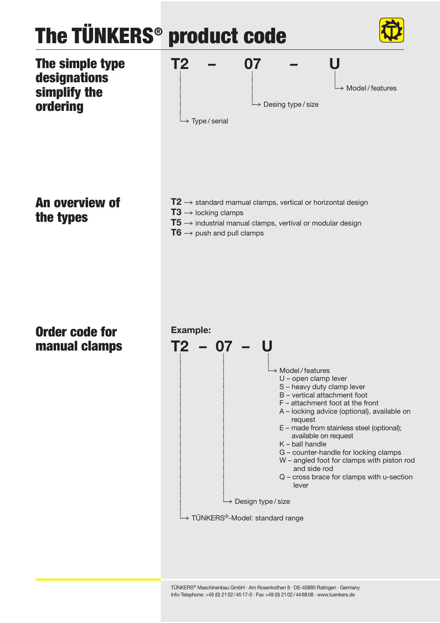# **The TÜNKERS® product code**





**An overview of the types**

- ${\bf T2} \rightarrow$  standard mamual clamps, vertical or horizontal design
- $T3 \rightarrow$  locking clamps
- ${\bf T5} \rightarrow$  industrial manual clamps, vertival or modular design
- $T6 \rightarrow$  push and pull clamps

#### **Order code for manual clamps**

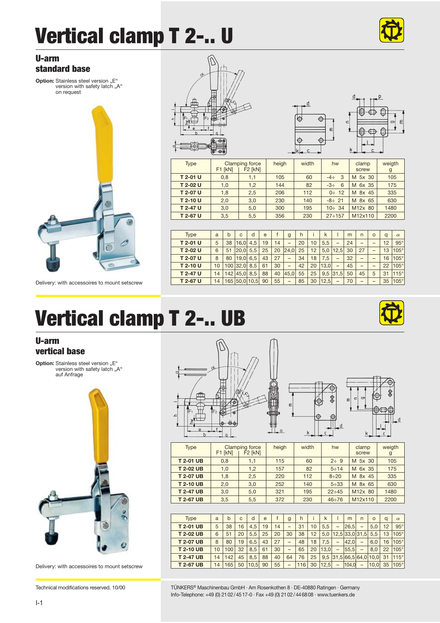### **Vertical clamp T 2-.. U**



 $\bullet$ <sup>p</sup> </u> €

 $\leftrightarrow$ 

 $\epsilon$ 

#### **U-arm standard base**

**Option:** Stainless steel version F<sup>"</sup> version with safety latch "A" on request



Delivery: with accessoires to mount setscrew

### **Vertical clamp T 2-.. UB**

#### **U-arm vertical base**

**Option:** Stainless steel version "E" version with safety latch "A"<br>auf Anfrage



Delivery: with accessoires to mount setscrew



Type | Clamping force | heigh | width | hw | clamp | weigth<br>| F1 [kN] | F2 [kN] | F1 | screw | g **T 2-01 U** 0,8 1,1 105 60 -4÷ 3 M 5x 30 105 **T 2-02 U** 1,0 1,2 144 82 -3÷ 6 M 6x 35 175 **T 2-07 U** 1,8 2,5 206 112 0÷ 12 M 8x 45 335 **T 2-10 U** 2,0 3,0 230 140 -8÷ 21 M 8x 65 630 **T 2-47 U** 3,0 5,0 300 195 10÷ 34 M12x 80 1480 **T 2-67 U** 3,5 5,5 356 230 27÷157 M12x110 2200 Type | a | b | c | d | e | f | g | h | i | k | l | m | n | o | q | α **T 2-01 U** 5 38 16,0 4,5 19 14 – 20 10 5,5 – 24 – – 12 95° **T 2-02 U** 6 51 20,0 5,5 25 20 24,0 25 12 5,0 12,5 30 27 – 13 105° **T 2-07 U** 8 80 19,0 6,5 43 27 – 34 18 7,5 – 32 – – 16 105° **T 2-10 U** 10 100 32,0 8,5 61 30 – 42 20 13,0 – 45 – – 22 105° **T 2-47 U** 14 142 45,0 8,5 88 40 45,0 55 25 9,5 31,5 50 45 5 31 115°<br>**T 2-67 U** 14 165 50,0 10,5 90 55 - 85 30 12,5 - 70 - - 35 105° **T 2-67 U** 14 165 50,0 10,5 90 55 – 85 30 12,5 – 70 – – 35 105°

西山

 $\overline{\oplus}$ 

 $\triangle$ 

 $\epsilon$ 

| Type            | F1 [kN] | Clamping force<br>F <sub>2</sub> [kN] | heigh | width | hw           | clamp<br>screw | weigth<br>g |
|-----------------|---------|---------------------------------------|-------|-------|--------------|----------------|-------------|
| <b>T2-01 UB</b> | 0.8     | 1,1                                   | 115   | 60    | $2 \div 9$   | M 5x 30        | 105         |
| <b>T2-02 UB</b> | 1,0     | 1,2                                   | 157   | 82    | $5 \div 14$  | M 6x 35        | 175         |
| <b>T2-07 UB</b> | 1,8     | 2.5                                   | 220   | 112   | $8 + 20$     | M 8x 45        | 335         |
| <b>T2-10 UB</b> | 2.0     | 3.0                                   | 252   | 140   | $5 + 33$     | M 8x 65        | 630         |
| <b>T2-47UB</b>  | 3.0     | 5.0                                   | 321   | 195   | $22 \div 45$ | M12x 80        | 1480        |
| <b>T2-67 UB</b> | 3,5     | 5,5                                   | 372   | 230   | $46 \div 76$ | M12x110        | 2200        |
|                 |         |                                       |       |       |              |                |             |

| Type            | a  | h   | c. | d     | e  |    | g  | h   |    | k    |                  | m     | n                        | $\Omega$                | a  | $\alpha$    |
|-----------------|----|-----|----|-------|----|----|----|-----|----|------|------------------|-------|--------------------------|-------------------------|----|-------------|
| <b>T2-01 UB</b> | 5  | 38  | 16 | 4.5   | 19 | 14 |    | 31  | 10 | 5.5  | -                | 26.5  |                          | 5.0                     | 12 | $95^\circ$  |
| <b>T2-02 UB</b> | 6  | 51  | 20 | 5.5   | 25 | 20 | 30 | 38  | 12 | 5.0  | $12.5$ 33.0 31.5 |       |                          | 5.5                     | 13 | $105^\circ$ |
| <b>T2-07 UB</b> | 8  | 80  | 19 | 6.5   | 43 | 27 |    | 48  | 18 | .5   | -                | 42.0  |                          | 6.0                     | 16 | $105^\circ$ |
| <b>T2-10 UB</b> | 10 | 100 | 32 | 8.5   | 61 | 30 | -  | 65  | 20 | 13.0 | -                | 55.5  | $\overline{\phantom{a}}$ | 8.0                     | 22 | $105^\circ$ |
| <b>T2-47 UB</b> | 14 | 142 | 45 | 8.5   | 88 | 40 | 64 | 76  | 25 |      |                  |       |                          | 9.5 31.5 66.5 64.0 10.0 | 31 | $115^\circ$ |
| <b>T2-67 UB</b> | 14 | 165 | 50 | 110,5 | 90 | 55 | -  | 116 | 30 | 12.5 | -                | 104.0 | -                        | 10.0 <sub>l</sub>       | 35 | $105^\circ$ |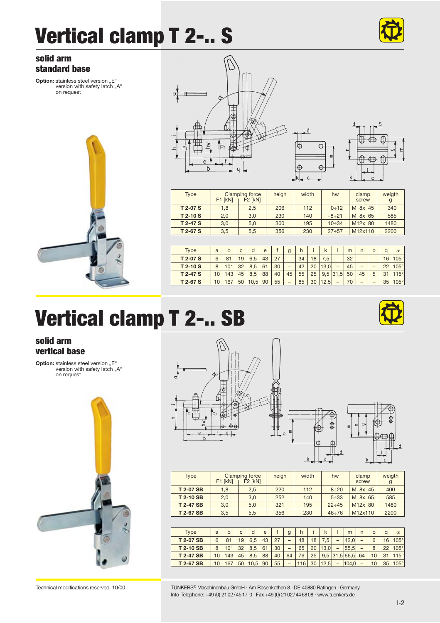### **Vertical clamp T 2-.. S**



#### **solid arm standard base**

**Option:** stainless steel version ..E" version with safety latch "A" on request







| <b>Type</b> | F1 [kN]    | Clamping force<br>F <sub>2</sub> [kN] | heigh | width | hw           | clamp<br>screw       | weigth<br>g |
|-------------|------------|---------------------------------------|-------|-------|--------------|----------------------|-------------|
| T 2-07 S    | 1.8        | 2.5                                   | 206   | 112   | 0:12         | M 8x 45              | 340         |
| $T$ 2-10 S  | 2.0<br>3,0 |                                       | 230   | 140   | $-8 \div 21$ | M 8x 65              | 585         |
| T 2-47 S    | 3.0<br>5.0 |                                       | 300   | 195   | $10 - 34$    | M <sub>12</sub> x 80 | 1480        |
| $T$ 2-67 S  | 3.5<br>5.5 |                                       | 356   | 230   | 27:57        | M12x110              | 2200        |

| <b>Type</b> | a               | h  | c  | d    | è  |    | g  | h  |    | k    |            | m  | n  | $\circ$ | a  | $\alpha$    |
|-------------|-----------------|----|----|------|----|----|----|----|----|------|------------|----|----|---------|----|-------------|
| T 2-07 S    | 6               |    | '9 | 6.5  | 43 | 27 |    | 34 | 18 | .5   |            | 32 | -  |         | 6  | $105^\circ$ |
| $T$ 2-10 S  | 8               |    | 32 | 8.5  | 61 | 30 | -  | 42 | 20 | 13.0 |            | 45 | -  |         | 22 | $05^\circ$  |
| T 2-47 S    | 10              | 43 | 45 | 8.5  | 88 | 40 | 45 | 55 | 25 |      | $9,5$ 31,5 | 50 | 45 | 5       |    | $15^\circ$  |
| T 2-67 S    | 10 <sup>1</sup> | 67 | 50 | 10.5 | 90 | 55 | -  | 85 | 30 | 12.5 |            | 70 |    |         | 35 | 105°        |
|             |                 |    |    |      |    |    |    |    |    |      |            |    |    |         |    |             |

### **Vertical clamp T 2-.. SB**

#### **solid arm vertical base**

**Option:** stainless steel version "E"<br>"version with safety latch "A on request







| <b>Type</b>     | F1 [kN]    | Clamping force<br>F <sub>2</sub> [kN] | heigh | width | hw           | clamp<br>screw | weigth<br>g |
|-----------------|------------|---------------------------------------|-------|-------|--------------|----------------|-------------|
| <b>T2-07SB</b>  | 1.8<br>2.5 |                                       | 220   | 112   | $8 + 20$     | M 8x 45        | 400         |
| <b>T2-10SB</b>  | 2.0<br>3.0 |                                       | 252   | 140   | $5 + 33$     | M 8x 65        | 585         |
| <b>T2-47SB</b>  | 3.0        | 5.0                                   | 321   | 195   | $22 - 45$    | M12x 80        | 1480        |
| <b>T2-67 SB</b> | 3.5        | 5.5                                   | 356   | 230   | $46 \div 76$ | M12x110        | 2200        |

| Tvpe           | a               | h |                |      | è  |    | g  |                 |    | ĸ    |   | m       |    | $\circ$ | a              | $\alpha$    |
|----------------|-----------------|---|----------------|------|----|----|----|-----------------|----|------|---|---------|----|---------|----------------|-------------|
| <b>T2-07SB</b> | 6               |   | $\overline{9}$ | 6.5  | 43 | 27 |    | 48              | 18 | .5   |   | 42.0    |    | 6       |                | $105^\circ$ |
| <b>T2-10SB</b> | 8               |   | 32             | 8.5  | 61 | 30 | -  | 65              | 20 | 13.0 | - | 55.5    |    | 8       | 22             | $105^\circ$ |
| <b>T2-47SB</b> | 10 <sup>1</sup> |   | 45             | 8.5  | 88 | 40 | 64 | 76              | 25 | 9.5  |   | .5 66.5 | 64 |         | 2 <sub>1</sub> |             |
| <b>T2-67SB</b> |                 |   | 50             | 10.5 | 90 | 55 | -  | 16 <sub>1</sub> | 30 | 12.5 |   | 104.0   |    | 10      | 35             | 105°        |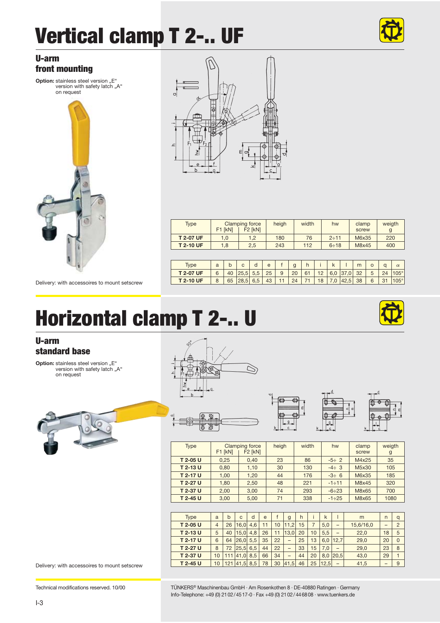## **Vertical clamp T 2-.. UF**



#### **U-arm front mounting**

**Option:** stainless steel version "E" version with safety latch "A" on request



**T**<br><del>-</del><br>Delivery: with accessoires to mount setscrew



| <b>Type</b>      | F1 [kN] | <b>Clamping force</b><br>F <sub>2</sub> [kN] | heigh | width | hw       | clamp<br>screw | weigth<br>g |
|------------------|---------|----------------------------------------------|-------|-------|----------|----------------|-------------|
| <b>T 2-07 UF</b> | 1.0     | 1.2                                          | 180   | 76    | $2 + 11$ | M6x35          | 220         |
| <b>T2-10 UF</b>  | 1.8     | 2.5                                          |       | 112   | $6 + 18$ | M8x45          | 400         |

| Tvpe             | a |    |             | e  |    | $\mathsf{g}$  | h  |    |                  | m |   | $\alpha$   | $\alpha$    |
|------------------|---|----|-------------|----|----|---------------|----|----|------------------|---|---|------------|-------------|
| <b>T 2-07 UF</b> |   | 40 | 25,5 5,5 25 |    | 9  | $\vert$ 20 61 |    |    | $12$ 6,0 37,0 32 |   | 5 | 24         | $105^\circ$ |
| <b>T2-10 UF</b>  |   |    | 65 28.5 6.5 | 43 | 11 | 24            | 71 | 18 | 7.0 42.5 38      |   | 6 | $\vert$ 31 | $105^\circ$ |

#### **Horizontal clamp T 2-.. U**

#### **U-arm standard base**

**Option:** stainless steel version "E"<br>"version with safety latch "A on request







| <b>Continued by the Continued State</b> |         |                                  |       |       |              |                |             |
|-----------------------------------------|---------|----------------------------------|-------|-------|--------------|----------------|-------------|
| Type                                    | F1 [kN] | Clamping force<br><b>F2 [kN]</b> | heigh | width | hw           | clamp<br>screw | weigth<br>g |
| T 2-05 U                                | 0.25    | 0.40                             | 23    | 86    | $-5 \div 2$  | M4x25          | 35          |
| T 2-13 U                                | 0.80    | 1,10                             | 30    | 130   | $-4 \div 3$  | M5x30          | 105         |
| T 2-17 U                                | 1.00    | 1.20                             | 44    | 176   | $-3 \div 6$  | M6x35          | 185         |
| T 2-27 U                                | 1.80    | 2.50                             | 48    | 221   | $-1 + 11$    | M8x45          | 320         |
| T 2-37 U                                | 2.00    | 3.00                             | 74    | 293   | $-6 \div 23$ | M8x65          | 700         |
| T 2-45 U                                | 3.00    | 5.00                             | 71    | 338   | $-1 \div 25$ | M8x65          | 1080        |

 $\overline{41}$ 

| Type     | a              | h   | c.   | d   | e  |    | g    | h  |    | k    |          | m         | $\overline{ }$ | a       |
|----------|----------------|-----|------|-----|----|----|------|----|----|------|----------|-----------|----------------|---------|
| T 2-05 U | $\overline{4}$ | 26  | 16.0 | 4.6 | 11 | 10 | 11.2 | 15 |    | 5.0  | -        | 15,6/16,0 |                | $\circ$ |
| T 2-13 U | 5              | 40  | 15.0 | 4.8 | 26 |    | 13.0 | 20 | 10 | 5.5  | -        | 22.0      | 18             | 5       |
| T 2-17 U | 6              | 64  | 26.0 | 5.5 | 35 | 22 | -    | 25 | 13 | 6.0  | 12.7     | 29.0      | 20             |         |
| T 2-27 U | 8              | 72  | 25.5 | 6.5 | 44 | 22 | -    | 33 | 15 | 7.0  | -        | 29.0      | 23             | 8       |
| T 2-37 U | 10             |     | 41.0 | 8.5 | 66 | 34 | -    | 44 | 20 |      | 8.0 20.5 | 43.0      | 29             |         |
| T 2-45 U | 10             | 121 | 41.5 | 8.5 | 78 | 30 | 41.5 | 46 | 25 | 12.5 |          | 41,5      |                | 9       |

Delivery: with accessoires to mount setscrew



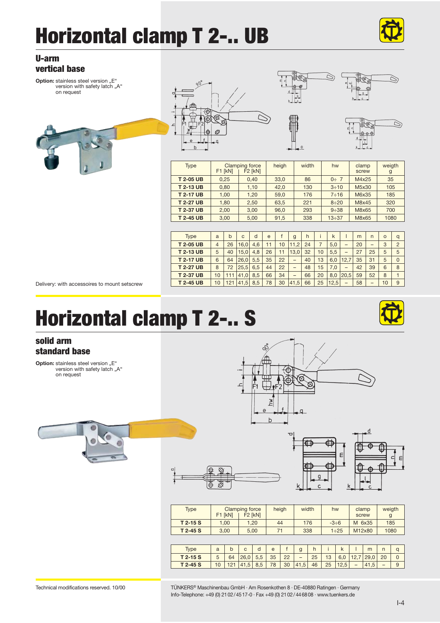### **Horizontal clamp T 2-.. UB**



Ó

Ó

et C  $\overline{a}$ 

> dr@  $0 - 0$

#### **U-arm vertical base**

**Option:** stainless steel version ..E" version with safety latch "A" on request





| $\mathbf b$     |           |                                  |       | $\overline{\phantom{0}}^0$ |              | ---            |             |
|-----------------|-----------|----------------------------------|-------|----------------------------|--------------|----------------|-------------|
| Type            | $F1$ [kN] | Clamping force<br><b>F2 [kN]</b> | heigh | width                      | hw           | clamp<br>screw | weigth<br>g |
| <b>T2-05 UB</b> | 0.25      | 0.40                             | 33,0  | 86                         | $0 \div 7$   | M4x25          | 35          |
| <b>T2-13 UB</b> | 0.80      | 1.10                             | 42,0  | 130                        | $3 \div 10$  | M5x30          | 105         |
| <b>T2-17 UB</b> | 1,00      | 1,20                             | 59,0  | 176                        | 7 ÷ 16       | M6x35          | 185         |
| <b>T2-27 UB</b> | 1,80      | 2.50                             | 63,5  | 221                        | $8 + 20$     | M8x45          | 320         |
| <b>T2-37 UB</b> | 2.00      | 3.00                             | 96,0  | 293                        | $9 + 38$     | M8x65          | 700         |
| <b>T2-45 UB</b> | 3.00      | 5.00                             | 91.5  | 338                        | $13 \div 37$ | M8x65          | 1080        |

⇘

| <b>Type</b>     | a  | h   | $\mathsf{C}$ | d   | $\theta$ |    | g                        | h  |    | k    |      | m  | n                        | $\circ$ | a              |
|-----------------|----|-----|--------------|-----|----------|----|--------------------------|----|----|------|------|----|--------------------------|---------|----------------|
| <b>T2-05 UB</b> | 4  | 26  | 16.0         | 4.6 | 11       | 10 | 11.2                     | 24 |    | 5.0  | -    | 20 | $\overline{\phantom{a}}$ | 3       | $\overline{2}$ |
| <b>T2-13 UB</b> | 5  | 40  | 15.0         | 4.8 | 26       | 11 | 13.0                     | 32 | 10 | 5.5  | -    | 27 | 25                       | 5       | 5              |
| <b>T2-17 UB</b> | 6  | 64  | 26.0         | 5.5 | 35       | 22 | $\overline{\phantom{a}}$ | 40 | 13 | 6.0  | 12.7 | 35 | 31                       | 5       | $\Omega$       |
| <b>T2-27 UB</b> | 8  | 72  | 25.5         | 6.5 | 44       | 22 | $\overline{\phantom{a}}$ | 48 | 15 | 7.0  | -    | 42 | 39                       | 6       | 8              |
| <b>T2-37 UB</b> | 10 |     | 41.0         | 8.5 | 66       | 34 | -                        | 66 | 20 | 8.0  | 20.5 | 59 | 52                       | 8       |                |
| <b>T2-45 UB</b> | 10 | 121 | 41,5         | 8.5 | 78       | 30 | 41.5                     | 66 | 25 | 12.5 | -    | 58 | $\overline{\phantom{a}}$ | 10      | 9              |

Delivery: with accessoires to mount setscrew

### **Horizontal clamp T 2-.. S**

#### **solid arm standard base**

**Option:** stainless steel version "E" version with safety latch "A" on request







| <b>Type</b> | F1 [kN] | <b>Clamping force</b><br>F <sub>2</sub> [kN] | heigh | width | hw          | clamp<br>screw | weigth<br>g |
|-------------|---------|----------------------------------------------|-------|-------|-------------|----------------|-------------|
| $T$ 2-15 S  | 1.00    | 1.20                                         | 44    | 176   | $-3 \div 6$ | M 6x35         | 185         |
| $T$ 2-45 S  | 3.00    | 5.00                                         | 71    | 338   | $1 + 25$    | M12x80         | 1080        |
|             |         |                                              |       |       |             |                |             |

| vpe      | a |    |      |     | e  |    | У                        |    |    |      |                          | m    |    |  |
|----------|---|----|------|-----|----|----|--------------------------|----|----|------|--------------------------|------|----|--|
| T 2-15 S |   | 64 | 26.0 | 5.5 | 35 | 22 | $\overline{\phantom{a}}$ | 25 | 13 | b,0  | . <u>.</u>               | 29.0 | 20 |  |
| T 2-45 S |   |    | 41.5 | 8.5 | 78 | 30 | 41,5                     | 46 | 25 | 12.5 | $\overline{\phantom{a}}$ |      |    |  |

Technical modifications reserved. 10/00 TÜNKERS® Maschinenbau GmbH · Am Rosenkothen 8 · DE-40880 Ratingen · Germany Info-Telephone: +49 (0) 21 02 / 45 17-0 · Fax +49 (0) 21 02 / 44 68 08 · www.tuenkers.de

⊗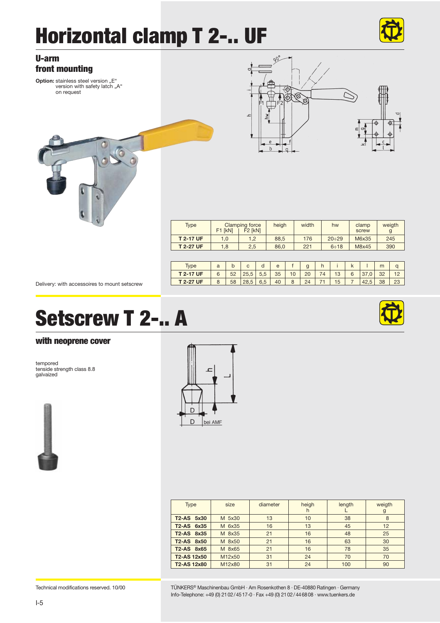## **Horizontal clamp T 2-.. UF**



 $\tilde{\Gamma}$ 



| <b>Type</b>     | F1 [kN] | Clamping force<br>F <sub>2</sub> [kN] | heigh | width | hw           | clamp<br>screw | weigth<br>g |
|-----------------|---------|---------------------------------------|-------|-------|--------------|----------------|-------------|
| <b>T2-17 UF</b> | 1.0     | 1.2                                   | 88.5  | 176   | $20 \div 29$ | M6x35          | 245         |
| <b>T2-27 UF</b> | 1.8     | 2.5                                   | 86.0  | 221   | $6 + 18$     | M8x45          | 390         |

| <b>vpe</b>      | a | ັ  | $\overline{ }$ |                                 | e  |    | g  |    |    |   |      | m  |    |
|-----------------|---|----|----------------|---------------------------------|----|----|----|----|----|---|------|----|----|
| <b>T2-17 UF</b> |   | 52 |                | $\overline{r}$<br>$\sim$<br>5,5 | 35 | 10 | 20 | 74 | 13 | 6 |      | 32 |    |
| <b>T2-27 UF</b> |   | 58 | 28.5           | 6.5                             | 40 | 8  | 24 | ٠. | 15 |   | 42.5 | 38 | 23 |

Delivery: with accessoires to mount setscrew

### **Setscrew T 2-.. A**

#### **with neoprene cover**

tempored tenside strength class 8.8 galvaized





| Type               | size   | diameter | heigh<br>h. | length | weigth<br>g |
|--------------------|--------|----------|-------------|--------|-------------|
| T2-AS 5x30         | M 5x30 | 13       | 10          | 38     | 8           |
| T2-AS 6x35         | M 6x35 | 16       | 13          | 45     | 12          |
| T2-AS 8x35         | M 8x35 | 21       | 16          | 48     | 25          |
| T2-AS 8x50         | M 8x50 | 21       | 16          | 63     | 30          |
| T2-AS 8x65         | M 8x65 | 21       | 16          | 78     | 35          |
| <b>T2-AS 12x50</b> | M12x50 | 31       | 24          | 70     | 70          |
| T2-AS 12x80        | M12x80 | 31       | 24          | 100    | 90          |

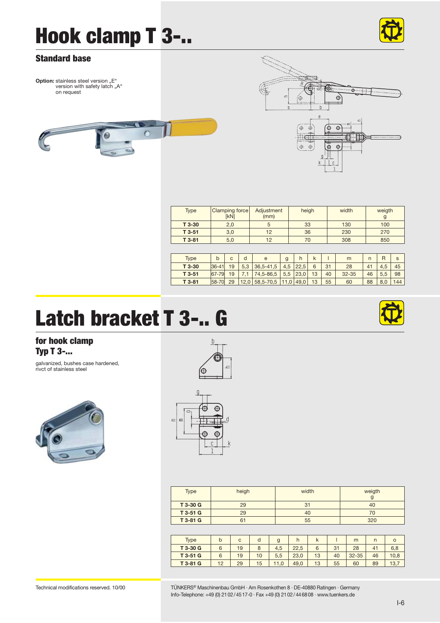### **Hook clamp T 3-..**



#### **Standard base**

**Option:** stainless steel version ..E" version with safety latch "A" on request



| J. | Œ                        |  |
|----|--------------------------|--|
| S  | b<br>$\rm e$<br>$\equiv$ |  |
|    | 曲<br>۲Ŧ<br>g<br>k<br>Ċ   |  |

| <b>Type</b> | <b>Clamping force</b><br>[kN] | Adiustment<br>(mm) | heigh | width | weigth |
|-------------|-------------------------------|--------------------|-------|-------|--------|
| T 3-30      | 2.0                           |                    | 33    | 130   | 100    |
| $T3-51$     | 3.0                           | 12                 | 36    | 230   | 270    |
| $T3-81$     | 5,0                           | 12                 | 70    | 308   | 850    |

| <b>Type</b> | b         | c  | d        | e              | g   |             |    |    | m         | n  | R   | s   |
|-------------|-----------|----|----------|----------------|-----|-------------|----|----|-----------|----|-----|-----|
| T 3-30      | $36 - 41$ | 19 | $\Omega$ | 36.5-41.5      | 4,5 | 22,5        | 6  | 31 | 28        | 41 | 4.5 | 45  |
| $T3-51$     | 67-79     | 19 |          | 74,5-86,5      | 5,5 | 23,0        | 13 | 40 | $32 - 35$ | 46 | 5.5 | 98  |
| $T3-81$     | 58-70     | 29 |          | 12,0 58,5-70,5 |     | $11.0$ 49.0 | 13 | 55 | 60        | 88 | 8.0 | 144 |
|             |           |    |          |                |     |             |    |    |           |    |     |     |

### **Latch bracket T 3-.. G**

**for hook clamp Typ T 3-...**

galvanized, bushes case hardened, rivct of stainless steel





 $\overline{r}$ 

 $\equiv$ 

h

| Type     | heigh | width | weigth |
|----------|-------|-------|--------|
|          |       |       |        |
| T 3-30 G | 29    | 31    | 40     |
| T 3-51 G | 29    | 40    | 70     |
| T 3-81 G | 61    | 55    | 320    |

| Type     | b  | C  | d  | g    | h    | $\mathsf k$ |    | m         |       | $\circ$ |
|----------|----|----|----|------|------|-------------|----|-----------|-------|---------|
| T 3-30 G | 6  | 19 | 8  | 4,5  | 22.5 | 6           | 31 | 28        | $4^+$ | 6.8     |
| T 3-51 G | 6  | 19 | 10 | 5,5  | 23.0 | 13          | 40 | $32 - 35$ | 46    | 10.8    |
| T 3-81 G | 12 | 29 | 15 | 11.0 | 49.0 | 13          | 55 | 60        | 89    | 13.7    |